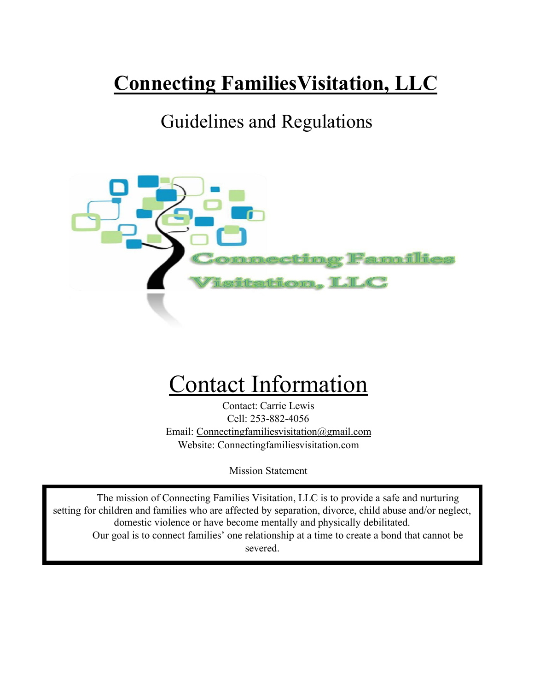# **Connecting FamiliesVisitation, LLC**

## Guidelines and Regulations



# Contact Information

Contact: Carrie Lewis Cell: 253-882-4056 Email: [Connectingfamiliesvisitation@gmail.com](mailto:Connectingfamiliesvisitation@gmail.com) Website: Connectingfamiliesvisitation.com

Mission Statement

The mission of Connecting Families Visitation, LLC is to provide a safe and nurturing setting for children and families who are affected by separation, divorce, child abuse and/or neglect, domestic violence or have become mentally and physically debilitated. Our goal is to connect families' one relationship at a time to create a bond that cannot be severed.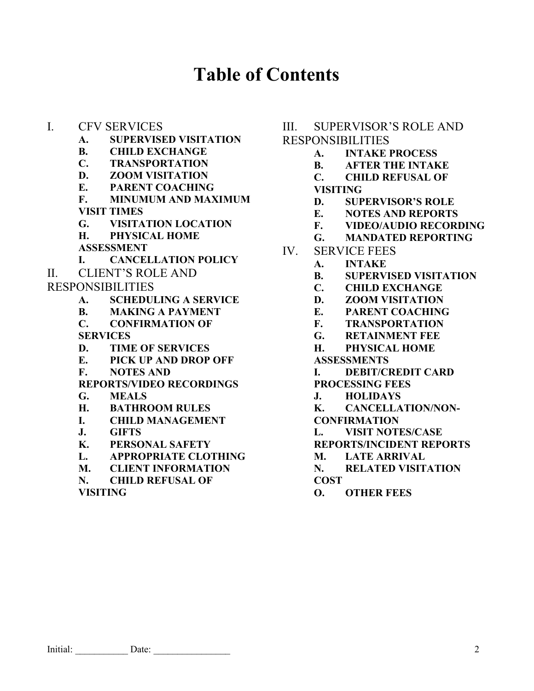## **Table of Contents**

- I. CFV SERVICES
	- **A. SUPERVISED VISITATION**
	- **B. CHILD EXCHANGE**
	- **C. TRANSPORTATION**
	- **D. ZOOM VISITATION**
	- **E. PARENT COACHING**
	- **F. MINUMUM AND MAXIMUM VISIT TIMES**
	- **G. VISITATION LOCATION**
	- **H. PHYSICAL HOME**
	- **ASSESSMENT**
	- **I. CANCELLATION POLICY**
- II. CLIENT'S ROLE AND
- RESPONSIBILITIES
	- **A. SCHEDULING A SERVICE**
	- **B. MAKING A PAYMENT**
	- **C. CONFIRMATION OF SERVICES**
	- **D. TIME OF SERVICES**
	- **E. PICK UP AND DROP OFF**
	- **F. NOTES AND**

**REPORTS/VIDEO RECORDINGS**

- **G. MEALS**
- **H. BATHROOM RULES**
- **I. CHILD MANAGEMENT**
- **J. GIFTS**
- **K. PERSONAL SAFETY**
- **L. APPROPRIATE CLOTHING**
- **M. CLIENT INFORMATION**
- **N. CHILD REFUSAL OF**

**VISITING**

#### III. SUPERVISOR'S ROLE AND

#### RESPONSIBILITIES

- **A. INTAKE PROCESS**
- **B. AFTER THE INTAKE**
- **C. CHILD REFUSAL OF VISITING**
- **D. SUPERVISOR'S ROLE**
- **E. NOTES AND REPORTS**
- **F. VIDEO/AUDIO RECORDING**
- **G. MANDATED REPORTING**
- IV. SERVICE FEES
	- **A. INTAKE**
	- **B. SUPERVISED VISITATION**
	- **C. CHILD EXCHANGE**
	- **D. ZOOM VISITATION**
	- **E. PARENT COACHING**
	- **F. TRANSPORTATION**
	- **G. RETAINMENT FEE**
	- **H. PHYSICAL HOME**
	- **ASSESSMENTS**
	- **I. DEBIT/CREDIT CARD**
	- **PROCESSING FEES**
	- **J. HOLIDAYS**
	- **K. CANCELLATION/NON-**
	- **CONFIRMATION**
	- **L. VISIT NOTES/CASE**
	- **REPORTS/INCIDENT REPORTS**
	- **M. LATE ARRIVAL**
	- **N. RELATED VISITATION COST**
	- **O. OTHER FEES**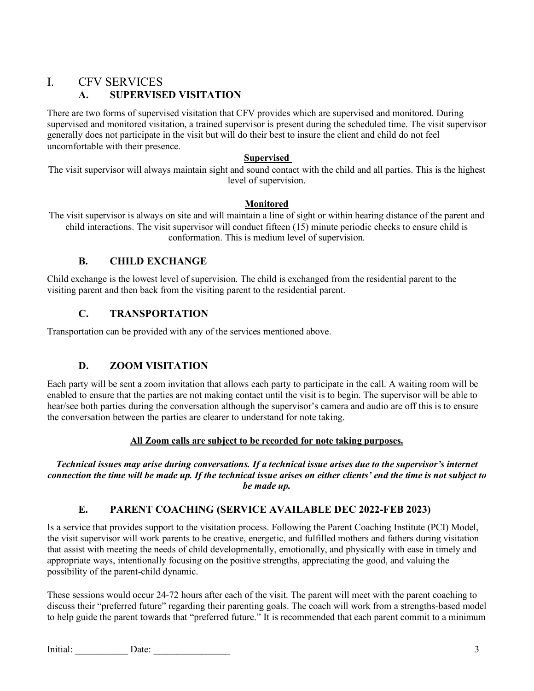## I. CFV SERVICES

## **A. SUPERVISED VISITATION**

There are two forms of supervised visitation that CFV provides which are supervised and monitored. During supervised and monitored visitation, a trained supervisor is present during the scheduled time. The visit supervisor generally does not participate in the visit but will do their best to insure the client and child do not feel uncomfortable with their presence.

#### **Supervised**

The visit supervisor will always maintain sight and sound contact with the child and all parties. This is the highest level of supervision.

#### **Monitored**

The visit supervisor is always on site and will maintain a line of sight or within hearing distance of the parent and child interactions. The visit supervisor will conduct fifteen (15) minute periodic checks to ensure child is conformation. This is medium level of supervision.

## **B. CHILD EXCHANGE**

Child exchange is the lowest level of supervision. The child is exchanged from the residential parent to the visiting parent and then back from the visiting parent to the residential parent.

## **C. TRANSPORTATION**

Transportation can be provided with any of the services mentioned above.

## **D. ZOOM VISITATION**

Each party will be sent a zoom invitation that allows each party to participate in the call. A waiting room will be enabled to ensure that the parties are not making contact until the visit is to begin. The supervisor will be able to hear/see both parties during the conversation although the supervisor's camera and audio are off this is to ensure the conversation between the parties are clearer to understand for note taking.

#### **All Zoom calls are subject to be recorded for note taking purposes.**

*Technical issues may arise during conversations. If a technical issue arises due to the supervisor's internet connection the time will be made up. If the technical issue arises on either clients' end the time is not subject to be made up.*

## **E. PARENT COACHING (SERVICE AVAILABLE DEC 2022-FEB 2023)**

Is a service that provides support to the visitation process. Following the Parent Coaching Institute (PCI) Model, the visit supervisor will work parents to be creative, energetic, and fulfilled mothers and fathers during visitation that assist with meeting the needs of child developmentally, emotionally, and physically with ease in timely and appropriate ways, intentionally focusing on the positive strengths, appreciating the good, and valuing the possibility of the parent-child dynamic.

These sessions would occur 24-72 hours after each of the visit. The parent will meet with the parent coaching to discuss their "preferred future" regarding their parenting goals. The coach will work from a strengths-based model to help guide the parent towards that "preferred future." It is recommended that each parent commit to a minimum

Initial: Date: 2008 Date: 2008 Date: 2008 Date: 2008 Date: 2008 Date: 2008 Date: 2008 Date: 2008 Date: 2008 Date: 2008 Date: 2008 Date: 2008 Date: 2008 Date: 2008 Date: 2008 Date: 2008 Date: 2008 Date: 2008 Date: 2008 Date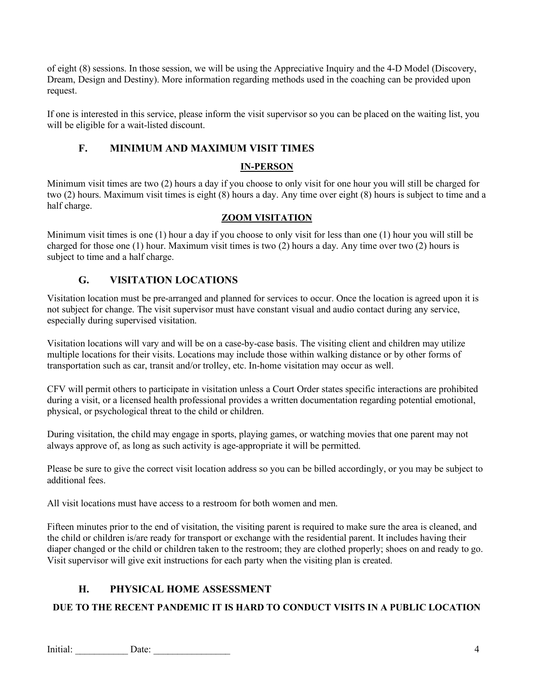of eight (8) sessions. In those session, we will be using the Appreciative Inquiry and the 4-D Model (Discovery, Dream, Design and Destiny). More information regarding methods used in the coaching can be provided upon request.

If one is interested in this service, please inform the visit supervisor so you can be placed on the waiting list, you will be eligible for a wait-listed discount.

## **F. MINIMUM AND MAXIMUM VISIT TIMES**

#### **IN-PERSON**

Minimum visit times are two (2) hours a day if you choose to only visit for one hour you will still be charged for two (2) hours. Maximum visit times is eight (8) hours a day. Any time over eight (8) hours is subject to time and a half charge.

#### **ZOOM VISITATION**

Minimum visit times is one (1) hour a day if you choose to only visit for less than one (1) hour you will still be charged for those one (1) hour. Maximum visit times is two (2) hours a day. Any time over two (2) hours is subject to time and a half charge.

#### **G. VISITATION LOCATIONS**

Visitation location must be pre-arranged and planned for services to occur. Once the location is agreed upon it is not subject for change. The visit supervisor must have constant visual and audio contact during any service, especially during supervised visitation.

Visitation locations will vary and will be on a case-by-case basis. The visiting client and children may utilize multiple locations for their visits. Locations may include those within walking distance or by other forms of transportation such as car, transit and/or trolley, etc. In-home visitation may occur as well.

CFV will permit others to participate in visitation unless a Court Order states specific interactions are prohibited during a visit, or a licensed health professional provides a written documentation regarding potential emotional, physical, or psychological threat to the child or children.

During visitation, the child may engage in sports, playing games, or watching movies that one parent may not always approve of, as long as such activity is age-appropriate it will be permitted.

Please be sure to give the correct visit location address so you can be billed accordingly, or you may be subject to additional fees.

All visit locations must have access to a restroom for both women and men.

Fifteen minutes prior to the end of visitation, the visiting parent is required to make sure the area is cleaned, and the child or children is/are ready for transport or exchange with the residential parent. It includes having their diaper changed or the child or children taken to the restroom; they are clothed properly; shoes on and ready to go. Visit supervisor will give exit instructions for each party when the visiting plan is created.

## **H. PHYSICAL HOME ASSESSMENT**

#### **DUE TO THE RECENT PANDEMIC IT IS HARD TO CONDUCT VISITS IN A PUBLIC LOCATION**

Initial: 2001 Date: 2002 Date: 2003 Date: 2003 Date: 2004 Date: 2004 Date: 2004 Date: 2004 Date: 2004 Date: 2004 Date: 2004 Date: 2004 Date: 2004 Date: 2004 Date: 2004 Date: 2004 Date: 2004 Date: 2004 Date: 2004 Date: 2004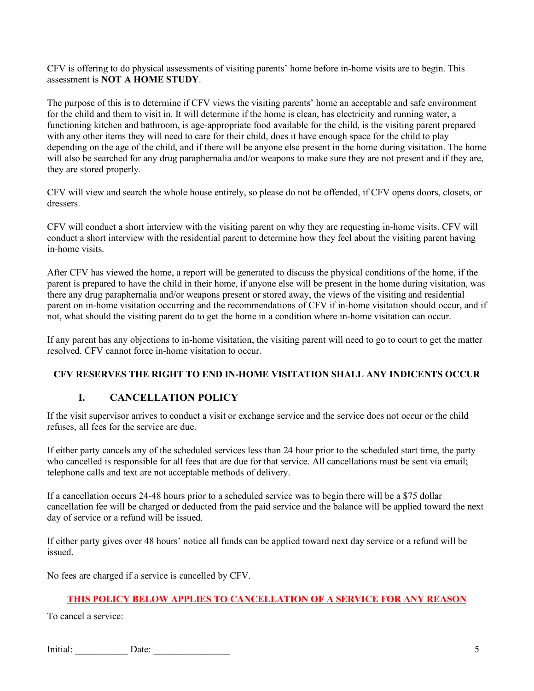CFV is offering to do physical assessments of visiting parents' home before in-home visits are to begin. This assessment is **NOT A HOME STUDY**.

The purpose of this is to determine if CFV views the visiting parents' home an acceptable and safe environment for the child and them to visit in. It will determine if the home is clean, has electricity and running water, a functioning kitchen and bathroom, is age-appropriate food available for the child, is the visiting parent prepared with any other items they will need to care for their child, does it have enough space for the child to play depending on the age of the child, and if there will be anyone else present in the home during visitation. The home will also be searched for any drug paraphernalia and/or weapons to make sure they are not present and if they are, they are stored properly.

CFV will view and search the whole house entirely, so please do not be offended, if CFV opens doors, closets, or dressers.

CFV will conduct a short interview with the visiting parent on why they are requesting in-home visits. CFV will conduct a short interview with the residential parent to determine how they feel about the visiting parent having in-home visits.

After CFV has viewed the home, a report will be generated to discuss the physical conditions of the home, if the parent is prepared to have the child in their home, if anyone else will be present in the home during visitation, was there any drug paraphernalia and/or weapons present or stored away, the views of the visiting and residential parent on in-home visitation occurring and the recommendations of CFV if in-home visitation should occur, and if not, what should the visiting parent do to get the home in a condition where in-home visitation can occur.

If any parent has any objections to in-home visitation, the visiting parent will need to go to court to get the matter resolved. CFV cannot force in-home visitation to occur.

#### **CFV RESERVES THE RIGHT TO END IN-HOME VISITATION SHALL ANY INDICENTS OCCUR**

#### **I. CANCELLATION POLICY**

If the visit supervisor arrives to conduct a visit or exchange service and the service does not occur or the child refuses, all fees for the service are due.

If either party cancels any of the scheduled services less than 24 hour prior to the scheduled start time, the party who cancelled is responsible for all fees that are due for that service. All cancellations must be sent via email; telephone calls and text are not acceptable methods of delivery.

If a cancellation occurs 24-48 hours prior to a scheduled service was to begin there will be a \$75 dollar cancellation fee will be charged or deducted from the paid service and the balance will be applied toward the next day of service or a refund will be issued.

If either party gives over 48 hours' notice all funds can be applied toward next day service or a refund will be issued.

No fees are charged if a service is cancelled by CFV.

#### **THIS POLICY BELOW APPLIES TO CANCELLATION OF A SERVICE FOR ANY REASON**

To cancel a service:

Initial: Date: 5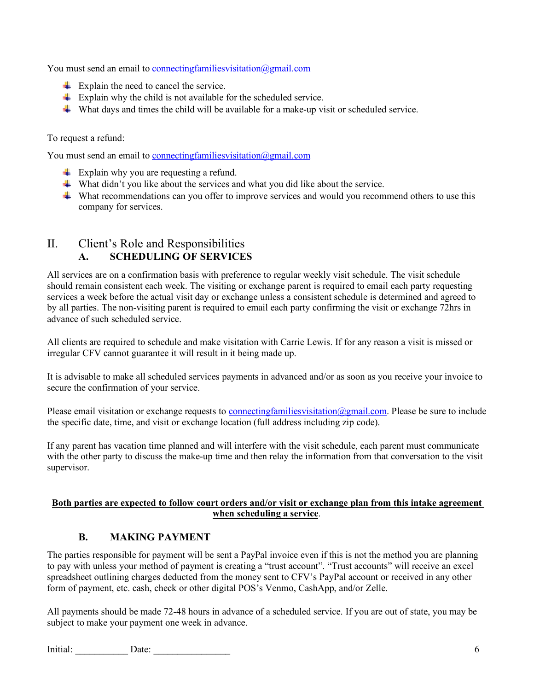You must send an email to connecting families visitation @gmail.com

- $\overline{\text{Explain}}$  the need to cancel the service.
- $\overline{\text{Explain why the child is not available for the scheduled service.}}$
- What days and times the child will be available for a make-up visit or scheduled service.

To request a refund:

You must send an email to connecting families visitation  $\omega$  gmail.com

- $\overline{\phantom{a}}$  Explain why you are requesting a refund.
- What didn't you like about the services and what you did like about the service.
- $\ddot{\bullet}$  What recommendations can you offer to improve services and would you recommend others to use this company for services.

## II. Client's Role and Responsibilities **A. SCHEDULING OF SERVICES**

All services are on a confirmation basis with preference to regular weekly visit schedule. The visit schedule should remain consistent each week. The visiting or exchange parent is required to email each party requesting services a week before the actual visit day or exchange unless a consistent schedule is determined and agreed to by all parties. The non-visiting parent is required to email each party confirming the visit or exchange 72hrs in advance of such scheduled service.

All clients are required to schedule and make visitation with Carrie Lewis. If for any reason a visit is missed or irregular CFV cannot guarantee it will result in it being made up.

It is advisable to make all scheduled services payments in advanced and/or as soon as you receive your invoice to secure the confirmation of your service.

Please email visitation or exchange requests to connecting familiesvisitation @gmail.com. Please be sure to include the specific date, time, and visit or exchange location (full address including zip code).

If any parent has vacation time planned and will interfere with the visit schedule, each parent must communicate with the other party to discuss the make-up time and then relay the information from that conversation to the visit supervisor.

#### **Both parties are expected to follow court orders and/or visit or exchange plan from this intake agreement when scheduling a service**.

## **B. MAKING PAYMENT**

The parties responsible for payment will be sent a PayPal invoice even if this is not the method you are planning to pay with unless your method of payment is creating a "trust account". "Trust accounts" will receive an excel spreadsheet outlining charges deducted from the money sent to CFV's PayPal account or received in any other form of payment, etc. cash, check or other digital POS's Venmo, CashApp, and/or Zelle.

All payments should be made 72-48 hours in advance of a scheduled service. If you are out of state, you may be subject to make your payment one week in advance.

Initial: Date: 2008 Date: 2008 Date: 2008 Date: 2008 Date: 2008 Date: 2008 Date: 2008 Date: 2008 Date: 2008 Date: 2008 Date: 2008 Date: 2008 Date: 2008 Date: 2008 Date: 2008 Date: 2008 Date: 2008 Date: 2008 Date: 2008 Date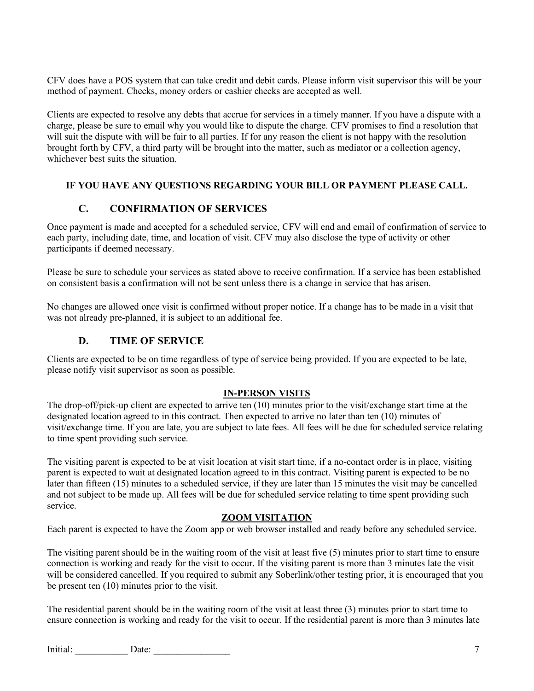CFV does have a POS system that can take credit and debit cards. Please inform visit supervisor this will be your method of payment. Checks, money orders or cashier checks are accepted as well.

Clients are expected to resolve any debts that accrue for services in a timely manner. If you have a dispute with a charge, please be sure to email why you would like to dispute the charge. CFV promises to find a resolution that will suit the dispute with will be fair to all parties. If for any reason the client is not happy with the resolution brought forth by CFV, a third party will be brought into the matter, such as mediator or a collection agency, whichever best suits the situation.

#### **IF YOU HAVE ANY QUESTIONS REGARDING YOUR BILL OR PAYMENT PLEASE CALL.**

#### **C. CONFIRMATION OF SERVICES**

Once payment is made and accepted for a scheduled service, CFV will end and email of confirmation of service to each party, including date, time, and location of visit. CFV may also disclose the type of activity or other participants if deemed necessary.

Please be sure to schedule your services as stated above to receive confirmation. If a service has been established on consistent basis a confirmation will not be sent unless there is a change in service that has arisen.

No changes are allowed once visit is confirmed without proper notice. If a change has to be made in a visit that was not already pre-planned, it is subject to an additional fee.

#### **D. TIME OF SERVICE**

Clients are expected to be on time regardless of type of service being provided. If you are expected to be late, please notify visit supervisor as soon as possible.

#### **IN-PERSON VISITS**

The drop-off/pick-up client are expected to arrive ten (10) minutes prior to the visit/exchange start time at the designated location agreed to in this contract. Then expected to arrive no later than ten (10) minutes of visit/exchange time. If you are late, you are subject to late fees. All fees will be due for scheduled service relating to time spent providing such service.

The visiting parent is expected to be at visit location at visit start time, if a no-contact order is in place, visiting parent is expected to wait at designated location agreed to in this contract. Visiting parent is expected to be no later than fifteen (15) minutes to a scheduled service, if they are later than 15 minutes the visit may be cancelled and not subject to be made up. All fees will be due for scheduled service relating to time spent providing such service.

#### **ZOOM VISITATION**

Each parent is expected to have the Zoom app or web browser installed and ready before any scheduled service.

The visiting parent should be in the waiting room of the visit at least five (5) minutes prior to start time to ensure connection is working and ready for the visit to occur. If the visiting parent is more than 3 minutes late the visit will be considered cancelled. If you required to submit any Soberlink/other testing prior, it is encouraged that you be present ten (10) minutes prior to the visit.

The residential parent should be in the waiting room of the visit at least three (3) minutes prior to start time to ensure connection is working and ready for the visit to occur. If the residential parent is more than 3 minutes late

Initial: Date: 2008 Date: 2008 Date: 2008 Date: 2008 Date: 2008 Date: 2008 Date: 2008 Date: 2008 Date: 2008 Date: 2008 Date: 2008 Date: 2008 Date: 2008 Date: 2008 Date: 2008 Date: 2008 Date: 2008 Date: 2008 Date: 2008 Date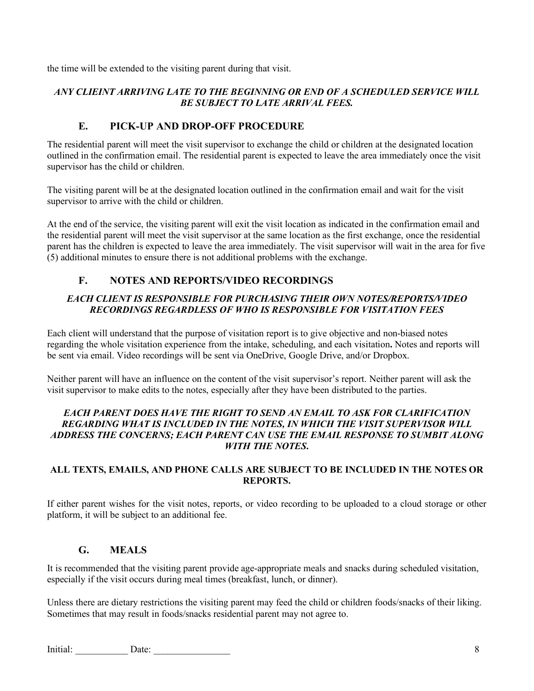the time will be extended to the visiting parent during that visit.

#### *ANY CLIEINT ARRIVING LATE TO THE BEGINNING OR END OF A SCHEDULED SERVICE WILL BE SUBJECT TO LATE ARRIVAL FEES.*

#### **E. PICK-UP AND DROP-OFF PROCEDURE**

The residential parent will meet the visit supervisor to exchange the child or children at the designated location outlined in the confirmation email. The residential parent is expected to leave the area immediately once the visit supervisor has the child or children.

The visiting parent will be at the designated location outlined in the confirmation email and wait for the visit supervisor to arrive with the child or children.

At the end of the service, the visiting parent will exit the visit location as indicated in the confirmation email and the residential parent will meet the visit supervisor at the same location as the first exchange, once the residential parent has the children is expected to leave the area immediately. The visit supervisor will wait in the area for five (5) additional minutes to ensure there is not additional problems with the exchange.

## **F. NOTES AND REPORTS/VIDEO RECORDINGS**

#### *EACH CLIENT IS RESPONSIBLE FOR PURCHASING THEIR OWN NOTES/REPORTS/VIDEO RECORDINGS REGARDLESS OF WHO IS RESPONSIBLE FOR VISITATION FEES*

Each client will understand that the purpose of visitation report is to give objective and non-biased notes regarding the whole visitation experience from the intake, scheduling, and each visitation**.** Notes and reports will be sent via email. Video recordings will be sent via OneDrive, Google Drive, and/or Dropbox.

Neither parent will have an influence on the content of the visit supervisor's report. Neither parent will ask the visit supervisor to make edits to the notes, especially after they have been distributed to the parties.

#### *EACH PARENT DOES HAVE THE RIGHT TO SEND AN EMAIL TO ASK FOR CLARIFICATION REGARDING WHAT IS INCLUDED IN THE NOTES, IN WHICH THE VISIT SUPERVISOR WILL ADDRESS THE CONCERNS; EACH PARENT CAN USE THE EMAIL RESPONSE TO SUMBIT ALONG WITH THE NOTES***.**

#### **ALL TEXTS, EMAILS, AND PHONE CALLS ARE SUBJECT TO BE INCLUDED IN THE NOTES OR REPORTS.**

If either parent wishes for the visit notes, reports, or video recording to be uploaded to a cloud storage or other platform, it will be subject to an additional fee.

#### **G. MEALS**

It is recommended that the visiting parent provide age-appropriate meals and snacks during scheduled visitation, especially if the visit occurs during meal times (breakfast, lunch, or dinner).

Unless there are dietary restrictions the visiting parent may feed the child or children foods/snacks of their liking. Sometimes that may result in foods/snacks residential parent may not agree to.

Initial: 2001 Date: 2002 Date: 2003 Date: 2004 Date: 2004 Date: 2004 Date: 2004 Date: 2004 Date: 2004 Date: 2004 Date: 2004 Date: 2004 Date: 2004 Date: 2004 Date: 2004 Date: 2004 Date: 2004 Date: 2004 Date: 2004 Date: 2004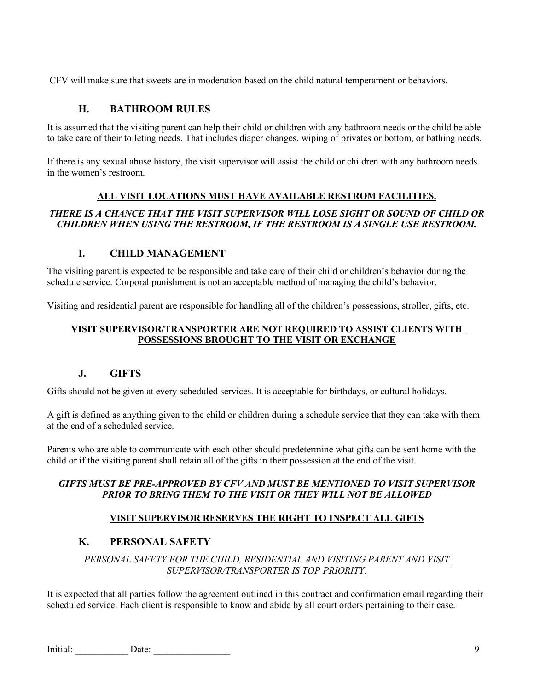CFV will make sure that sweets are in moderation based on the child natural temperament or behaviors.

#### **H. BATHROOM RULES**

It is assumed that the visiting parent can help their child or children with any bathroom needs or the child be able to take care of their toileting needs. That includes diaper changes, wiping of privates or bottom, or bathing needs.

If there is any sexual abuse history, the visit supervisor will assist the child or children with any bathroom needs in the women's restroom.

#### **ALL VISIT LOCATIONS MUST HAVE AVAILABLE RESTROM FACILITIES.**

#### *THERE IS A CHANCE THAT THE VISIT SUPERVISOR WILL LOSE SIGHT OR SOUND OF CHILD OR CHILDREN WHEN USING THE RESTROOM, IF THE RESTROOM IS A SINGLE USE RESTROOM.*

#### **I. CHILD MANAGEMENT**

The visiting parent is expected to be responsible and take care of their child or children's behavior during the schedule service. Corporal punishment is not an acceptable method of managing the child's behavior.

Visiting and residential parent are responsible for handling all of the children's possessions, stroller, gifts, etc.

#### **VISIT SUPERVISOR/TRANSPORTER ARE NOT REQUIRED TO ASSIST CLIENTS WITH POSSESSIONS BROUGHT TO THE VISIT OR EXCHANGE**

#### **J. GIFTS**

Gifts should not be given at every scheduled services. It is acceptable for birthdays, or cultural holidays.

A gift is defined as anything given to the child or children during a schedule service that they can take with them at the end of a scheduled service.

Parents who are able to communicate with each other should predetermine what gifts can be sent home with the child or if the visiting parent shall retain all of the gifts in their possession at the end of the visit.

#### *GIFTS MUST BE PRE-APPROVED BY CFV AND MUST BE MENTIONED TO VISIT SUPERVISOR PRIOR TO BRING THEM TO THE VISIT OR THEY WILL NOT BE ALLOWED*

#### **VISIT SUPERVISOR RESERVES THE RIGHT TO INSPECT ALL GIFTS**

#### **K. PERSONAL SAFETY**

#### *PERSONAL SAFETY FOR THE CHILD, RESIDENTIAL AND VISITING PARENT AND VISIT SUPERVISOR/TRANSPORTER IS TOP PRIORITY.*

It is expected that all parties follow the agreement outlined in this contract and confirmation email regarding their scheduled service. Each client is responsible to know and abide by all court orders pertaining to their case.

Initial: Date: 2002 Date: 2008 Date: 2008 Date: 2008 Date: 2008 Date: 2008 Date: 2008 Date: 2008 Date: 2008 Date: 2008 Date: 2008 Date: 2008 Date: 2008 Date: 2008 Date: 2008 Date: 2008 Date: 2008 Date: 2008 Date: 2008 Date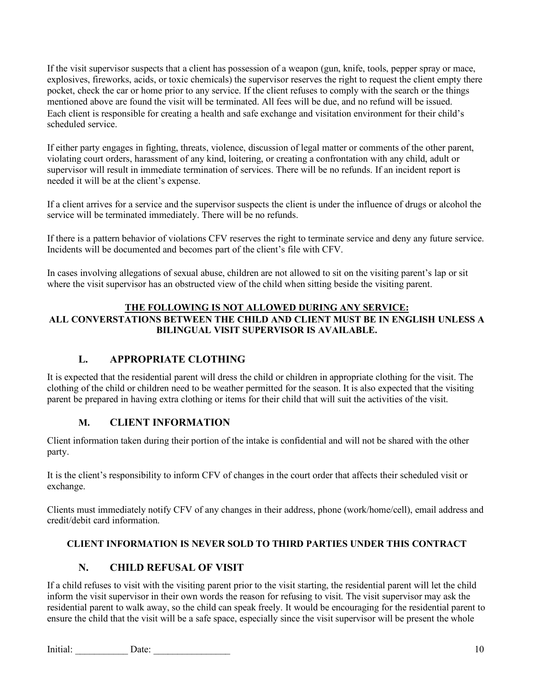If the visit supervisor suspects that a client has possession of a weapon (gun, knife, tools, pepper spray or mace, explosives, fireworks, acids, or toxic chemicals) the supervisor reserves the right to request the client empty there pocket, check the car or home prior to any service. If the client refuses to comply with the search or the things mentioned above are found the visit will be terminated. All fees will be due, and no refund will be issued. Each client is responsible for creating a health and safe exchange and visitation environment for their child's scheduled service.

If either party engages in fighting, threats, violence, discussion of legal matter or comments of the other parent, violating court orders, harassment of any kind, loitering, or creating a confrontation with any child, adult or supervisor will result in immediate termination of services. There will be no refunds. If an incident report is needed it will be at the client's expense.

If a client arrives for a service and the supervisor suspects the client is under the influence of drugs or alcohol the service will be terminated immediately. There will be no refunds.

If there is a pattern behavior of violations CFV reserves the right to terminate service and deny any future service. Incidents will be documented and becomes part of the client's file with CFV.

In cases involving allegations of sexual abuse, children are not allowed to sit on the visiting parent's lap or sit where the visit supervisor has an obstructed view of the child when sitting beside the visiting parent.

#### **THE FOLLOWING IS NOT ALLOWED DURING ANY SERVICE:**

#### **ALL CONVERSTATIONS BETWEEN THE CHILD AND CLIENT MUST BE IN ENGLISH UNLESS A BILINGUAL VISIT SUPERVISOR IS AVAILABLE.**

#### **L. APPROPRIATE CLOTHING**

It is expected that the residential parent will dress the child or children in appropriate clothing for the visit. The clothing of the child or children need to be weather permitted for the season. It is also expected that the visiting parent be prepared in having extra clothing or items for their child that will suit the activities of the visit.

#### **M. CLIENT INFORMATION**

Client information taken during their portion of the intake is confidential and will not be shared with the other party.

It is the client's responsibility to inform CFV of changes in the court order that affects their scheduled visit or exchange.

Clients must immediately notify CFV of any changes in their address, phone (work/home/cell), email address and credit/debit card information.

#### **CLIENT INFORMATION IS NEVER SOLD TO THIRD PARTIES UNDER THIS CONTRACT**

#### **N. CHILD REFUSAL OF VISIT**

If a child refuses to visit with the visiting parent prior to the visit starting, the residential parent will let the child inform the visit supervisor in their own words the reason for refusing to visit. The visit supervisor may ask the residential parent to walk away, so the child can speak freely. It would be encouraging for the residential parent to ensure the child that the visit will be a safe space, especially since the visit supervisor will be present the whole

Initial: Date: 2002 Date: 2008 Date: 2008 Date: 2008 Date: 2008 Date: 2008 Date: 2008 Date: 2008 Date: 2008 Date: 2008 Date: 2008 Date: 2008 Date: 2008 Date: 2008 Date: 2008 Date: 2008 Date: 2008 Date: 2008 Date: 2008 Date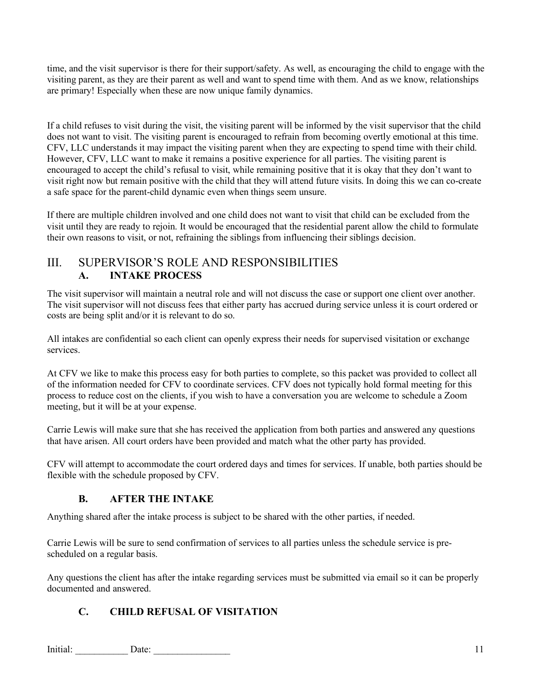time, and the visit supervisor is there for their support/safety. As well, as encouraging the child to engage with the visiting parent, as they are their parent as well and want to spend time with them. And as we know, relationships are primary! Especially when these are now unique family dynamics.

If a child refuses to visit during the visit, the visiting parent will be informed by the visit supervisor that the child does not want to visit. The visiting parent is encouraged to refrain from becoming overtly emotional at this time. CFV, LLC understands it may impact the visiting parent when they are expecting to spend time with their child. However, CFV, LLC want to make it remains a positive experience for all parties. The visiting parent is encouraged to accept the child's refusal to visit, while remaining positive that it is okay that they don't want to visit right now but remain positive with the child that they will attend future visits. In doing this we can co-create a safe space for the parent-child dynamic even when things seem unsure.

If there are multiple children involved and one child does not want to visit that child can be excluded from the visit until they are ready to rejoin. It would be encouraged that the residential parent allow the child to formulate their own reasons to visit, or not, refraining the siblings from influencing their siblings decision.

## III. SUPERVISOR'S ROLE AND RESPONSIBILITIES **A. INTAKE PROCESS**

The visit supervisor will maintain a neutral role and will not discuss the case or support one client over another. The visit supervisor will not discuss fees that either party has accrued during service unless it is court ordered or costs are being split and/or it is relevant to do so.

All intakes are confidential so each client can openly express their needs for supervised visitation or exchange services.

At CFV we like to make this process easy for both parties to complete, so this packet was provided to collect all of the information needed for CFV to coordinate services. CFV does not typically hold formal meeting for this process to reduce cost on the clients, if you wish to have a conversation you are welcome to schedule a Zoom meeting, but it will be at your expense.

Carrie Lewis will make sure that she has received the application from both parties and answered any questions that have arisen. All court orders have been provided and match what the other party has provided.

CFV will attempt to accommodate the court ordered days and times for services. If unable, both parties should be flexible with the schedule proposed by CFV.

## **B. AFTER THE INTAKE**

Anything shared after the intake process is subject to be shared with the other parties, if needed.

Carrie Lewis will be sure to send confirmation of services to all parties unless the schedule service is prescheduled on a regular basis.

Any questions the client has after the intake regarding services must be submitted via email so it can be properly documented and answered.

## **C. CHILD REFUSAL OF VISITATION**

Initial: Date: 2002. Date: 2003. Date: 2004. Date: 2004. Date: 2004. Date: 2004. Date: 2004. Date: 2004. Date: 2004. Date: 2004. Date: 2004. Date: 2004. Date: 2004. Date: 2004. Date: 2004. Date: 2004. Date: 2004. Date: 200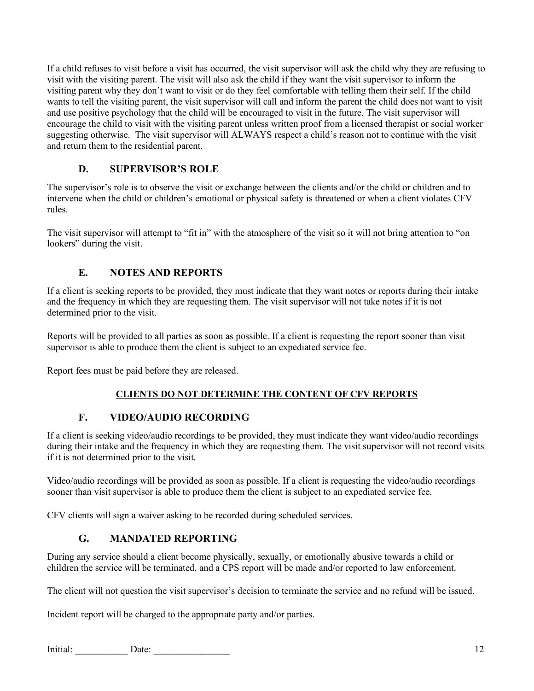If a child refuses to visit before a visit has occurred, the visit supervisor will ask the child why they are refusing to visit with the visiting parent. The visit will also ask the child if they want the visit supervisor to inform the visiting parent why they don't want to visit or do they feel comfortable with telling them their self. If the child wants to tell the visiting parent, the visit supervisor will call and inform the parent the child does not want to visit and use positive psychology that the child will be encouraged to visit in the future. The visit supervisor will encourage the child to visit with the visiting parent unless written proof from a licensed therapist or social worker suggesting otherwise. The visit supervisor will ALWAYS respect a child's reason not to continue with the visit and return them to the residential parent.

## **D. SUPERVISOR'S ROLE**

The supervisor's role is to observe the visit or exchange between the clients and/or the child or children and to intervene when the child or children's emotional or physical safety is threatened or when a client violates CFV rules.

The visit supervisor will attempt to "fit in" with the atmosphere of the visit so it will not bring attention to "on lookers" during the visit.

## **E. NOTES AND REPORTS**

If a client is seeking reports to be provided, they must indicate that they want notes or reports during their intake and the frequency in which they are requesting them. The visit supervisor will not take notes if it is not determined prior to the visit.

Reports will be provided to all parties as soon as possible. If a client is requesting the report sooner than visit supervisor is able to produce them the client is subject to an expediated service fee.

Report fees must be paid before they are released.

#### **CLIENTS DO NOT DETERMINE THE CONTENT OF CFV REPORTS**

#### **F. VIDEO/AUDIO RECORDING**

If a client is seeking video/audio recordings to be provided, they must indicate they want video/audio recordings during their intake and the frequency in which they are requesting them. The visit supervisor will not record visits if it is not determined prior to the visit.

Video/audio recordings will be provided as soon as possible. If a client is requesting the video/audio recordings sooner than visit supervisor is able to produce them the client is subject to an expediated service fee.

CFV clients will sign a waiver asking to be recorded during scheduled services.

## **G. MANDATED REPORTING**

During any service should a client become physically, sexually, or emotionally abusive towards a child or children the service will be terminated, and a CPS report will be made and/or reported to law enforcement.

The client will not question the visit supervisor's decision to terminate the service and no refund will be issued.

Incident report will be charged to the appropriate party and/or parties.

Initial: Date: 2014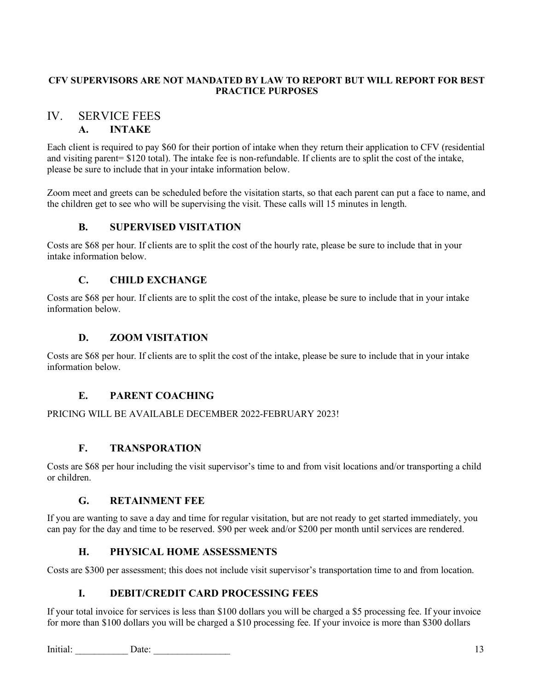#### **CFV SUPERVISORS ARE NOT MANDATED BY LAW TO REPORT BUT WILL REPORT FOR BEST PRACTICE PURPOSES**

## IV. SERVICE FEES

## **A. INTAKE**

Each client is required to pay \$60 for their portion of intake when they return their application to CFV (residential and visiting parent= \$120 total). The intake fee is non-refundable. If clients are to split the cost of the intake, please be sure to include that in your intake information below.

Zoom meet and greets can be scheduled before the visitation starts, so that each parent can put a face to name, and the children get to see who will be supervising the visit. These calls will 15 minutes in length.

## **B. SUPERVISED VISITATION**

Costs are \$68 per hour. If clients are to split the cost of the hourly rate, please be sure to include that in your intake information below.

## **C. CHILD EXCHANGE**

Costs are \$68 per hour. If clients are to split the cost of the intake, please be sure to include that in your intake information below.

## **D. ZOOM VISITATION**

Costs are \$68 per hour. If clients are to split the cost of the intake, please be sure to include that in your intake information below.

## **E. PARENT COACHING**

#### PRICING WILL BE AVAILABLE DECEMBER 2022-FEBRUARY 2023!

#### **F. TRANSPORATION**

Costs are \$68 per hour including the visit supervisor's time to and from visit locations and/or transporting a child or children.

#### **G. RETAINMENT FEE**

If you are wanting to save a day and time for regular visitation, but are not ready to get started immediately, you can pay for the day and time to be reserved. \$90 per week and/or \$200 per month until services are rendered.

## **H. PHYSICAL HOME ASSESSMENTS**

Costs are \$300 per assessment; this does not include visit supervisor's transportation time to and from location.

#### **I. DEBIT/CREDIT CARD PROCESSING FEES**

If your total invoice for services is less than \$100 dollars you will be charged a \$5 processing fee. If your invoice for more than \$100 dollars you will be charged a \$10 processing fee. If your invoice is more than \$300 dollars

Initial: Date: 2002. Date: 2003. Date: 2004. Date: 2004. Date: 2004. 2004. 2006. 2006. 2006. 2007. 2008. 2007. 2008. 2007. 2008. 2007. 2008. 2008. 2008. 2008. 2008. 2008. 2008. 2009. 2008. 2009. 2008. 2009. 2009. 2009. 200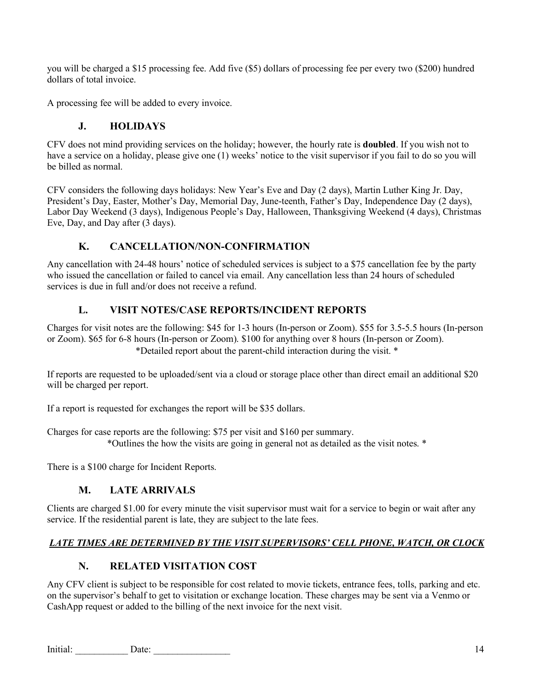you will be charged a \$15 processing fee. Add five (\$5) dollars of processing fee per every two (\$200) hundred dollars of total invoice.

A processing fee will be added to every invoice.

#### **J. HOLIDAYS**

CFV does not mind providing services on the holiday; however, the hourly rate is **doubled**. If you wish not to have a service on a holiday, please give one (1) weeks' notice to the visit supervisor if you fail to do so you will be billed as normal.

CFV considers the following days holidays: New Year's Eve and Day (2 days), Martin Luther King Jr. Day, President's Day, Easter, Mother's Day, Memorial Day, June-teenth, Father's Day, Independence Day (2 days), Labor Day Weekend (3 days), Indigenous People's Day, Halloween, Thanksgiving Weekend (4 days), Christmas Eve, Day, and Day after (3 days).

## **K. CANCELLATION/NON-CONFIRMATION**

Any cancellation with 24-48 hours' notice of scheduled services is subject to a \$75 cancellation fee by the party who issued the cancellation or failed to cancel via email. Any cancellation less than 24 hours of scheduled services is due in full and/or does not receive a refund.

## **L. VISIT NOTES/CASE REPORTS/INCIDENT REPORTS**

Charges for visit notes are the following: \$45 for 1-3 hours (In-person or Zoom). \$55 for 3.5-5.5 hours (In-person or Zoom). \$65 for 6-8 hours (In-person or Zoom). \$100 for anything over 8 hours (In-person or Zoom). \*Detailed report about the parent-child interaction during the visit. \*

If reports are requested to be uploaded/sent via a cloud or storage place other than direct email an additional \$20 will be charged per report.

If a report is requested for exchanges the report will be \$35 dollars.

Charges for case reports are the following: \$75 per visit and \$160 per summary. \*Outlines the how the visits are going in general not as detailed as the visit notes. \*

There is a \$100 charge for Incident Reports.

## **M. LATE ARRIVALS**

Clients are charged \$1.00 for every minute the visit supervisor must wait for a service to begin or wait after any service. If the residential parent is late, they are subject to the late fees.

## *LATE TIMES ARE DETERMINED BY THE VISIT SUPERVISORS' CELL PHONE, WATCH, OR CLOCK*

## **N. RELATED VISITATION COST**

Any CFV client is subject to be responsible for cost related to movie tickets, entrance fees, tolls, parking and etc. on the supervisor's behalf to get to visitation or exchange location. These charges may be sent via a Venmo or CashApp request or added to the billing of the next invoice for the next visit.

Initial: Date: 2002. Date: 2003. Date: 2004. Date: 2004. Date: 2004. Date: 2004. Date: 2004. Date: 2004. Date: 2006. Date: 2006. Date: 2006. Date: 2006. Date: 2006. Date: 2006. Date: 2006. Date: 2006. Date: 2006. Date: 200